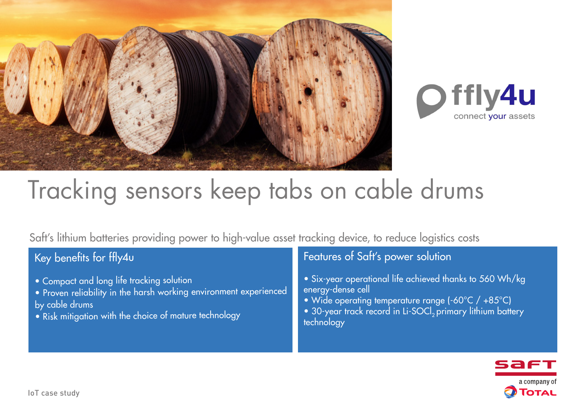



# Tracking sensors keep tabs on cable drums

Saft's lithium batteries providing power to high-value asset tracking device, to reduce logistics costs

## Key benefits for ffly4u

- Compact and long life tracking solution
- Proven reliability in the harsh working environment experienced by cable drums
- Risk mitigation with the choice of mature technology

## Features of Saft's power solution

- Six-year operational life achieved thanks to 560 Wh/kg energy-dense cell
- Wide operating temperature range (-60°C / +85°C)
- 30-year track record in Li-SOCl<sub>2</sub> primary lithium battery technology